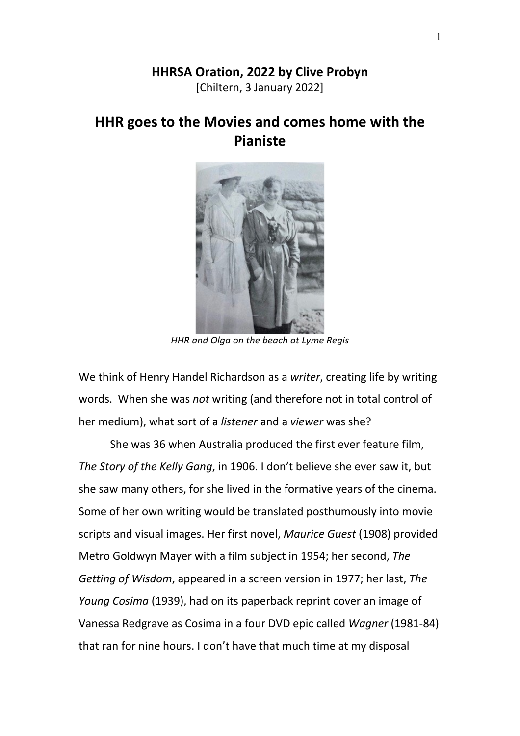## **HHRSA Oration, 2022 by Clive Probyn**

[Chiltern, 3 January 2022]

## **HHR goes to the Movies and comes home with the Pianiste**



*HHR and Olga on the beach at Lyme Regis*

We think of Henry Handel Richardson as a *writer*, creating life by writing words. When she was *not* writing (and therefore not in total control of her medium), what sort of a *listener* and a *viewer* was she?

She was 36 when Australia produced the first ever feature film, *The Story of the Kelly Gang*, in 1906. I don't believe she ever saw it, but she saw many others, for she lived in the formative years of the cinema. Some of her own writing would be translated posthumously into movie scripts and visual images. Her first novel, *Maurice Guest* (1908) provided Metro Goldwyn Mayer with a film subject in 1954; her second, *The Getting of Wisdom*, appeared in a screen version in 1977; her last, *The Young Cosima* (1939), had on its paperback reprint cover an image of Vanessa Redgrave as Cosima in a four DVD epic called *Wagner* (1981-84) that ran for nine hours. I don't have that much time at my disposal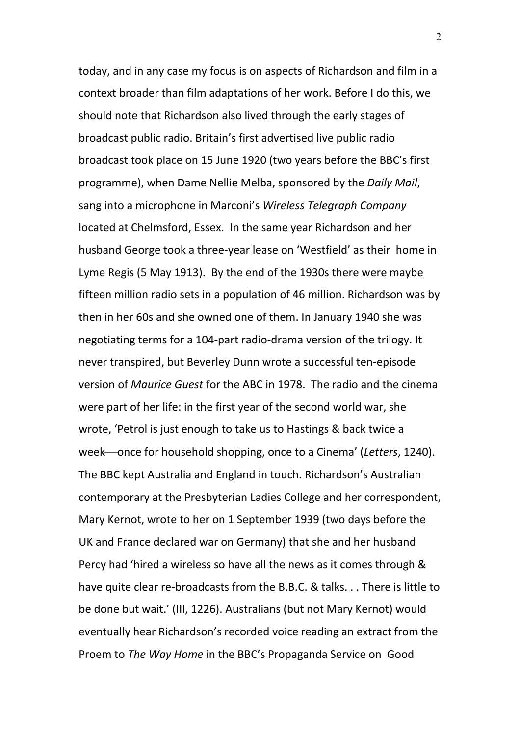today, and in any case my focus is on aspects of Richardson and film in a context broader than film adaptations of her work. Before I do this, we should note that Richardson also lived through the early stages of broadcast public radio. Britain's first advertised live public radio broadcast took place on 15 June 1920 (two years before the BBC's first programme), when Dame Nellie Melba, sponsored by the *Daily Mail*, sang into a microphone in Marconi's *Wireless Telegraph Company* located at Chelmsford, Essex. In the same year Richardson and her husband George took a three-year lease on 'Westfield' as their home in Lyme Regis (5 May 1913). By the end of the 1930s there were maybe fifteen million radio sets in a population of 46 million. Richardson was by then in her 60s and she owned one of them. In January 1940 she was negotiating terms for a 104-part radio-drama version of the trilogy. It never transpired, but Beverley Dunn wrote a successful ten-episode version of *Maurice Guest* for the ABC in 1978. The radio and the cinema were part of her life: in the first year of the second world war, she wrote, 'Petrol is just enough to take us to Hastings & back twice a week—once for household shopping, once to a Cinema' (*Letters*, 1240). The BBC kept Australia and England in touch. Richardson's Australian contemporary at the Presbyterian Ladies College and her correspondent, Mary Kernot, wrote to her on 1 September 1939 (two days before the UK and France declared war on Germany) that she and her husband Percy had 'hired a wireless so have all the news as it comes through & have quite clear re-broadcasts from the B.B.C. & talks. . . There is little to be done but wait.' (III, 1226). Australians (but not Mary Kernot) would eventually hear Richardson's recorded voice reading an extract from the Proem to *The Way Home* in the BBC's Propaganda Service on Good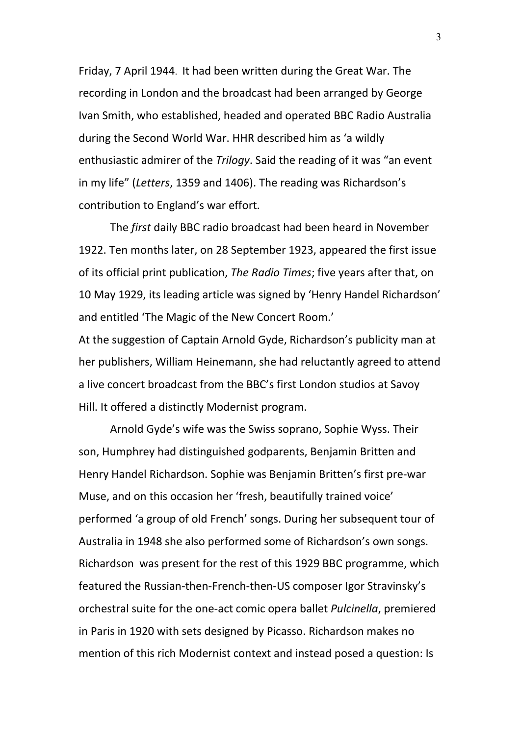Friday, 7 April 1944. It had been written during the Great War. The recording in London and the broadcast had been arranged by George Ivan Smith, who established, headed and operated BBC Radio Australia during the Second World War. HHR described him as 'a wildly enthusiastic admirer of the *Trilogy*. Said the reading of it was "an event in my life" (*Letters*, 1359 and 1406). The reading was Richardson's contribution to England's war effort.

The *first* daily BBC radio broadcast had been heard in November 1922. Ten months later, on 28 September 1923, appeared the first issue of its official print publication, *The Radio Times*; five years after that, on 10 May 1929, its leading article was signed by 'Henry Handel Richardson' and entitled 'The Magic of the New Concert Room.'

At the suggestion of Captain Arnold Gyde, Richardson's publicity man at her publishers, William Heinemann, she had reluctantly agreed to attend a live concert broadcast from the BBC's first London studios at Savoy Hill. It offered a distinctly Modernist program.

Arnold Gyde's wife was the Swiss soprano, Sophie Wyss. Their son, Humphrey had distinguished godparents, Benjamin Britten and Henry Handel Richardson. Sophie was Benjamin Britten's first pre-war Muse, and on this occasion her 'fresh, beautifully trained voice' performed 'a group of old French' songs. During her subsequent tour of Australia in 1948 she also performed some of Richardson's own songs. Richardson was present for the rest of this 1929 BBC programme, which featured the Russian-then-French-then-US composer Igor Stravinsky's orchestral suite for the one-act comic opera ballet *Pulcinella*, premiered in Paris in 1920 with sets designed by Picasso. Richardson makes no mention of this rich Modernist context and instead posed a question: Is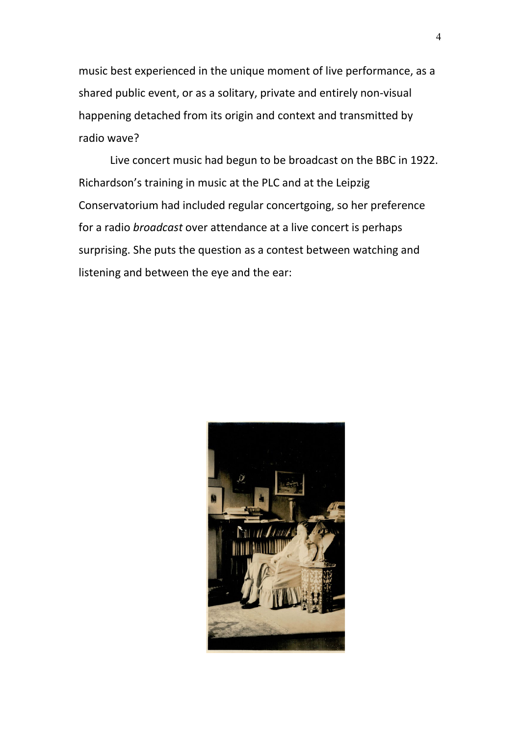music best experienced in the unique moment of live performance, as a shared public event, or as a solitary, private and entirely non-visual happening detached from its origin and context and transmitted by radio wave?

Live concert music had begun to be broadcast on the BBC in 1922. Richardson's training in music at the PLC and at the Leipzig Conservatorium had included regular concertgoing, so her preference for a radio *broadcast* over attendance at a live concert is perhaps surprising. She puts the question as a contest between watching and listening and between the eye and the ear:

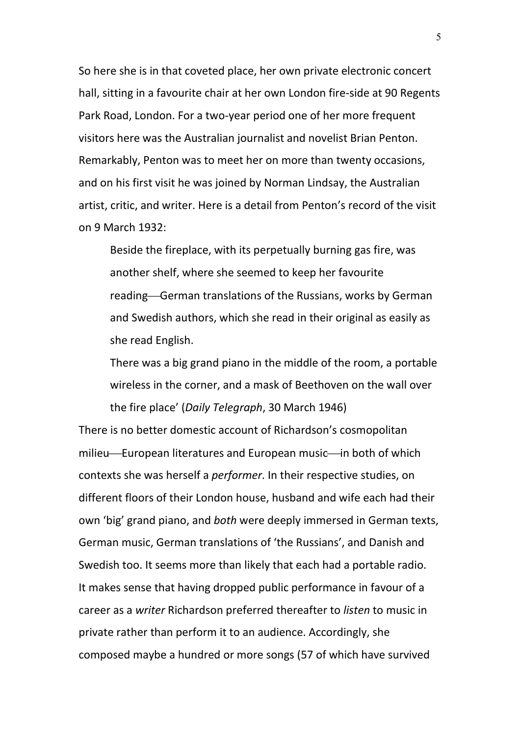So here she is in that coveted place, her own private electronic concert hall, sitting in a favourite chair at her own London fire-side at 90 Regents Park Road, London. For a two-year period one of her more frequent visitors here was the Australian journalist and novelist Brian Penton. Remarkably, Penton was to meet her on more than twenty occasions, and on his first visit he was joined by Norman Lindsay, the Australian artist, critic, and writer. Here is a detail from Penton's record of the visit on 9 March 1932:

Beside the fireplace, with its perpetually burning gas fire, was another shelf, where she seemed to keep her favourite reading-German translations of the Russians, works by German and Swedish authors, which she read in their original as easily as she read English.

There was a big grand piano in the middle of the room, a portable wireless in the corner, and a mask of Beethoven on the wall over the fire place' (*Daily Telegraph*, 30 March 1946)

There is no better domestic account of Richardson's cosmopolitan milieu—European literatures and European music—in both of which contexts she was herself a *performer*. In their respective studies, on different floors of their London house, husband and wife each had their own 'big' grand piano, and *both* were deeply immersed in German texts, German music, German translations of 'the Russians', and Danish and Swedish too. It seems more than likely that each had a portable radio. It makes sense that having dropped public performance in favour of a career as a *writer* Richardson preferred thereafter to *listen* to music in private rather than perform it to an audience. Accordingly, she composed maybe a hundred or more songs (57 of which have survived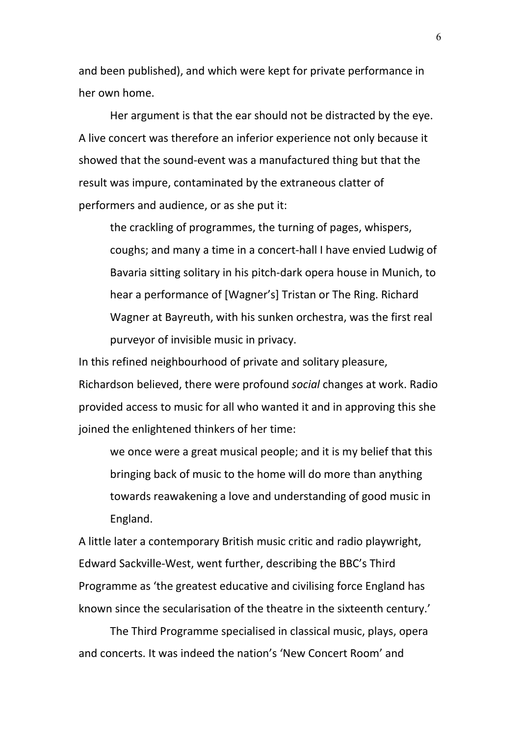and been published), and which were kept for private performance in her own home.

Her argument is that the ear should not be distracted by the eye. A live concert was therefore an inferior experience not only because it showed that the sound-event was a manufactured thing but that the result was impure, contaminated by the extraneous clatter of performers and audience, or as she put it:

the crackling of programmes, the turning of pages, whispers, coughs; and many a time in a concert-hall I have envied Ludwig of Bavaria sitting solitary in his pitch-dark opera house in Munich, to hear a performance of [Wagner's] Tristan or The Ring. Richard Wagner at Bayreuth, with his sunken orchestra, was the first real purveyor of invisible music in privacy.

In this refined neighbourhood of private and solitary pleasure, Richardson believed, there were profound *social* changes at work. Radio provided access to music for all who wanted it and in approving this she joined the enlightened thinkers of her time:

we once were a great musical people; and it is my belief that this bringing back of music to the home will do more than anything towards reawakening a love and understanding of good music in England.

A little later a contemporary British music critic and radio playwright, Edward Sackville-West, went further, describing the BBC's Third Programme as 'the greatest educative and civilising force England has known since the secularisation of the theatre in the sixteenth century.'

The Third Programme specialised in classical music, plays, opera and concerts. It was indeed the nation's 'New Concert Room' and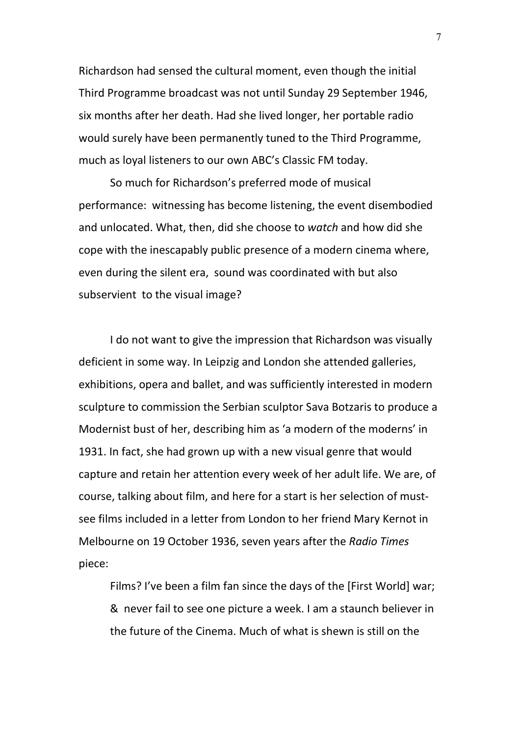Richardson had sensed the cultural moment, even though the initial Third Programme broadcast was not until Sunday 29 September 1946, six months after her death. Had she lived longer, her portable radio would surely have been permanently tuned to the Third Programme, much as loyal listeners to our own ABC's Classic FM today.

So much for Richardson's preferred mode of musical performance: witnessing has become listening, the event disembodied and unlocated. What, then, did she choose to *watch* and how did she cope with the inescapably public presence of a modern cinema where, even during the silent era, sound was coordinated with but also subservient to the visual image?

I do not want to give the impression that Richardson was visually deficient in some way. In Leipzig and London she attended galleries, exhibitions, opera and ballet, and was sufficiently interested in modern sculpture to commission the Serbian sculptor Sava Botzaris to produce a Modernist bust of her, describing him as 'a modern of the moderns' in 1931. In fact, she had grown up with a new visual genre that would capture and retain her attention every week of her adult life. We are, of course, talking about film, and here for a start is her selection of mustsee films included in a letter from London to her friend Mary Kernot in Melbourne on 19 October 1936, seven years after the *Radio Times* piece:

Films? I've been a film fan since the days of the [First World] war; & never fail to see one picture a week. I am a staunch believer in the future of the Cinema. Much of what is shewn is still on the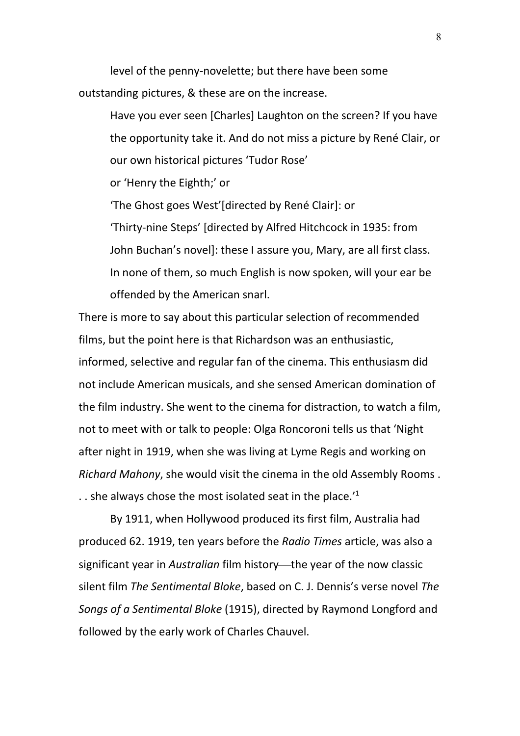level of the penny-novelette; but there have been some outstanding pictures, & these are on the increase.

Have you ever seen [Charles] Laughton on the screen? If you have the opportunity take it. And do not miss a picture by René Clair, or our own historical pictures 'Tudor Rose'

or 'Henry the Eighth;' or

'The Ghost goes West'[directed by René Clair]: or 'Thirty-nine Steps' [directed by Alfred Hitchcock in 1935: from John Buchan's novel]: these I assure you, Mary, are all first class. In none of them, so much English is now spoken, will your ear be offended by the American snarl.

There is more to say about this particular selection of recommended films, but the point here is that Richardson was an enthusiastic, informed, selective and regular fan of the cinema. This enthusiasm did not include American musicals, and she sensed American domination of the film industry. She went to the cinema for distraction, to watch a film, not to meet with or talk to people: Olga Roncoroni tells us that 'Night after night in 1919, when she was living at Lyme Regis and working on *Richard Mahony*, she would visit the cinema in the old Assembly Rooms . . . she always chose the most isolated seat in the place. $11$ 

By 1911, when Hollywood produced its first film, Australia had produced 62. 1919, ten years before the *Radio Times* article, was also a significant year in *Australian* film history—the year of the now classic silent film *The Sentimental Bloke*, based on C. J. Dennis's verse novel *The Songs of a Sentimental Bloke* (1915), directed by Raymond Longford and followed by the early work of Charles Chauvel.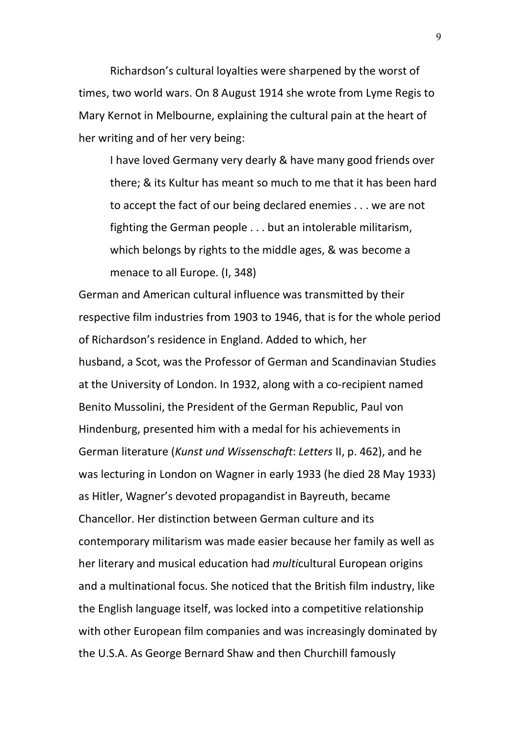Richardson's cultural loyalties were sharpened by the worst of times, two world wars. On 8 August 1914 she wrote from Lyme Regis to Mary Kernot in Melbourne, explaining the cultural pain at the heart of her writing and of her very being:

I have loved Germany very dearly & have many good friends over there; & its Kultur has meant so much to me that it has been hard to accept the fact of our being declared enemies . . . we are not fighting the German people . . . but an intolerable militarism, which belongs by rights to the middle ages, & was become a menace to all Europe. (I, 348)

German and American cultural influence was transmitted by their respective film industries from 1903 to 1946, that is for the whole period of Richardson's residence in England. Added to which, her husband, a Scot, was the Professor of German and Scandinavian Studies at the University of London. In 1932, along with a co-recipient named Benito Mussolini, the President of the German Republic, Paul von Hindenburg, presented him with a medal for his achievements in German literature (*Kunst und Wissenschaft*: *Letters* II, p. 462), and he was lecturing in London on Wagner in early 1933 (he died 28 May 1933) as Hitler, Wagner's devoted propagandist in Bayreuth, became Chancellor. Her distinction between German culture and its contemporary militarism was made easier because her family as well as her literary and musical education had *multi*cultural European origins and a multinational focus. She noticed that the British film industry, like the English language itself, was locked into a competitive relationship with other European film companies and was increasingly dominated by the U.S.A. As George Bernard Shaw and then Churchill famously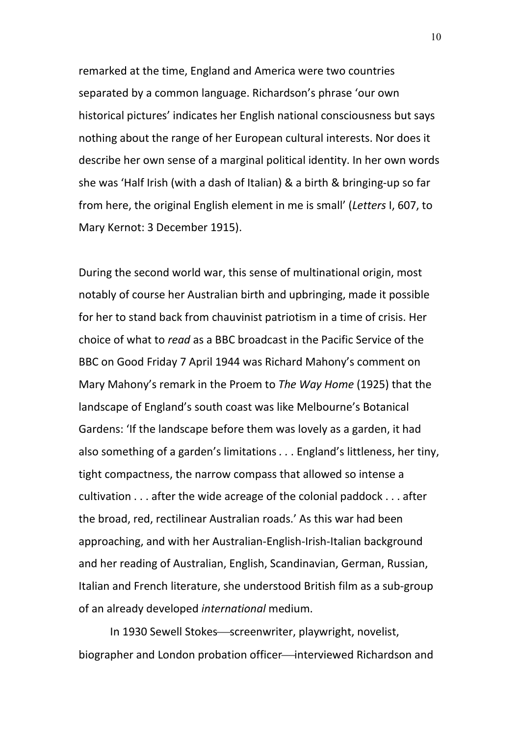remarked at the time, England and America were two countries separated by a common language. Richardson's phrase 'our own historical pictures' indicates her English national consciousness but says nothing about the range of her European cultural interests. Nor does it describe her own sense of a marginal political identity. In her own words she was 'Half Irish (with a dash of Italian) & a birth & bringing-up so far from here, the original English element in me is small' (*Letters* I, 607, to Mary Kernot: 3 December 1915).

During the second world war, this sense of multinational origin, most notably of course her Australian birth and upbringing, made it possible for her to stand back from chauvinist patriotism in a time of crisis. Her choice of what to *read* as a BBC broadcast in the Pacific Service of the BBC on Good Friday 7 April 1944 was Richard Mahony's comment on Mary Mahony's remark in the Proem to *The Way Home* (1925) that the landscape of England's south coast was like Melbourne's Botanical Gardens: 'If the landscape before them was lovely as a garden, it had also something of a garden's limitations *. .* . England's littleness, her tiny, tight compactness, the narrow compass that allowed so intense a cultivation . . . after the wide acreage of the colonial paddock . . . after the broad, red, rectilinear Australian roads.' As this war had been approaching, and with her Australian-English-Irish-Italian background and her reading of Australian, English, Scandinavian, German, Russian, Italian and French literature, she understood British film as a sub-group of an already developed *international* medium.

In 1930 Sewell Stokes-screenwriter, playwright, novelist, biographer and London probation officer—interviewed Richardson and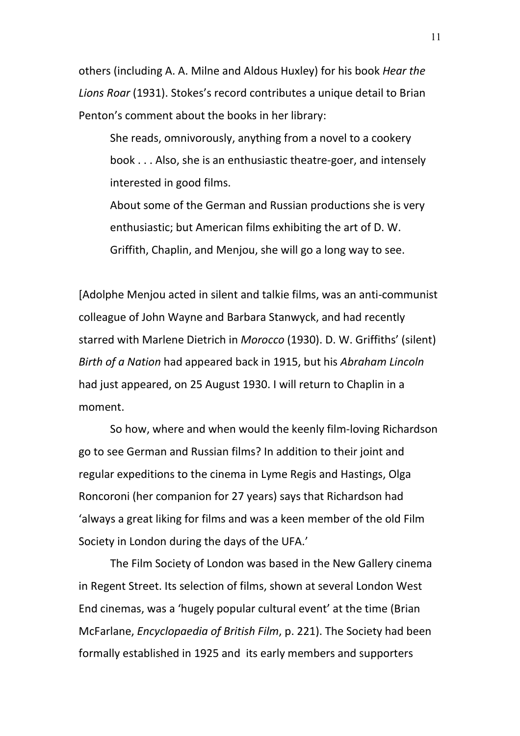others (including A. A. Milne and Aldous Huxley) for his book *Hear the Lions Roar* (1931). Stokes's record contributes a unique detail to Brian Penton's comment about the books in her library:

She reads, omnivorously, anything from a novel to a cookery book . . . Also, she is an enthusiastic theatre-goer, and intensely interested in good films.

About some of the German and Russian productions she is very enthusiastic; but American films exhibiting the art of D. W. Griffith, Chaplin, and Menjou, she will go a long way to see.

[Adolphe Menjou acted in silent and talkie films, was an anti-communist colleague of John Wayne and Barbara Stanwyck, and had recently starred with Marlene Dietrich in *Morocco* (1930). D. W. Griffiths' (silent) *Birth of a Nation* had appeared back in 1915, but his *Abraham Lincoln* had just appeared, on 25 August 1930. I will return to Chaplin in a moment.

So how, where and when would the keenly film-loving Richardson go to see German and Russian films? In addition to their joint and regular expeditions to the cinema in Lyme Regis and Hastings, Olga Roncoroni (her companion for 27 years) says that Richardson had 'always a great liking for films and was a keen member of the old Film Society in London during the days of the UFA.'

The Film Society of London was based in the New Gallery cinema in Regent Street. Its selection of films, shown at several London West End cinemas, was a 'hugely popular cultural event' at the time (Brian McFarlane, *Encyclopaedia of British Film*, p. 221). The Society had been formally established in 1925 and its early members and supporters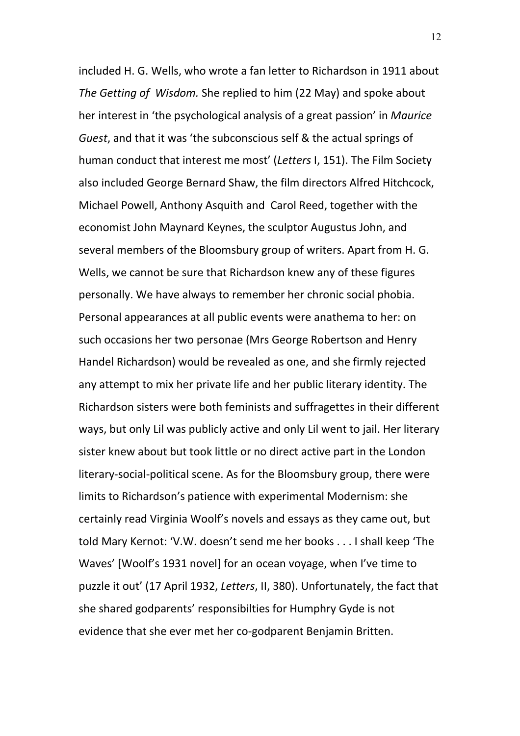included H. G. Wells, who wrote a fan letter to Richardson in 1911 about *The Getting of Wisdom.* She replied to him (22 May) and spoke about her interest in 'the psychological analysis of a great passion' in *Maurice Guest*, and that it was 'the subconscious self & the actual springs of human conduct that interest me most' (*Letters* I, 151). The Film Society also included George Bernard Shaw, the film directors Alfred Hitchcock, Michael Powell, Anthony Asquith and Carol Reed, together with the economist John Maynard Keynes, the sculptor Augustus John, and several members of the Bloomsbury group of writers. Apart from H. G. Wells, we cannot be sure that Richardson knew any of these figures personally. We have always to remember her chronic social phobia. Personal appearances at all public events were anathema to her: on such occasions her two personae (Mrs George Robertson and Henry Handel Richardson) would be revealed as one, and she firmly rejected any attempt to mix her private life and her public literary identity. The Richardson sisters were both feminists and suffragettes in their different ways, but only Lil was publicly active and only Lil went to jail. Her literary sister knew about but took little or no direct active part in the London literary-social-political scene. As for the Bloomsbury group, there were limits to Richardson's patience with experimental Modernism: she certainly read Virginia Woolf's novels and essays as they came out, but told Mary Kernot: 'V.W. doesn't send me her books . . . I shall keep 'The Waves' [Woolf's 1931 novel] for an ocean voyage, when I've time to puzzle it out' (17 April 1932, *Letters*, II, 380). Unfortunately, the fact that she shared godparents' responsibilties for Humphry Gyde is not evidence that she ever met her co-godparent Benjamin Britten.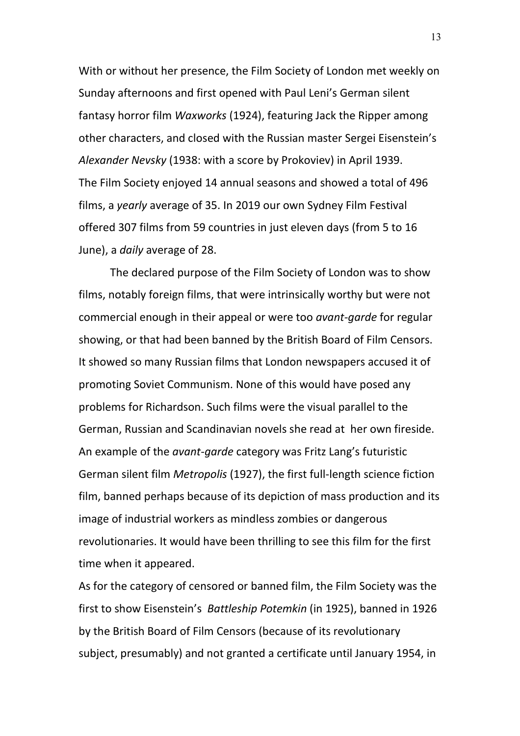With or without her presence, the Film Society of London met weekly on Sunday afternoons and first opened with Paul Leni's German silent fantasy horror film *Waxworks* (1924), featuring Jack the Ripper among other characters, and closed with the Russian master Sergei Eisenstein's *Alexander Nevsky* (1938: with a score by Prokoviev) in April 1939. The Film Society enjoyed 14 annual seasons and showed a total of 496 films, a *yearly* average of 35. In 2019 our own Sydney Film Festival offered 307 films from 59 countries in just eleven days (from 5 to 16 June), a *daily* average of 28.

The declared purpose of the Film Society of London was to show films, notably foreign films, that were intrinsically worthy but were not commercial enough in their appeal or were too *avant-garde* for regular showing, or that had been banned by the British Board of Film Censors. It showed so many Russian films that London newspapers accused it of promoting Soviet Communism. None of this would have posed any problems for Richardson. Such films were the visual parallel to the German, Russian and Scandinavian novels she read at her own fireside. An example of the *avant-garde* category was Fritz Lang's futuristic German silent film *Metropolis* (1927), the first full-length science fiction film, banned perhaps because of its depiction of mass production and its image of industrial workers as mindless zombies or dangerous revolutionaries. It would have been thrilling to see this film for the first time when it appeared.

As for the category of censored or banned film, the Film Society was the first to show Eisenstein's *Battleship Potemkin* (in 1925), banned in 1926 by the British Board of Film Censors (because of its revolutionary subject, presumably) and not granted a certificate until January 1954, in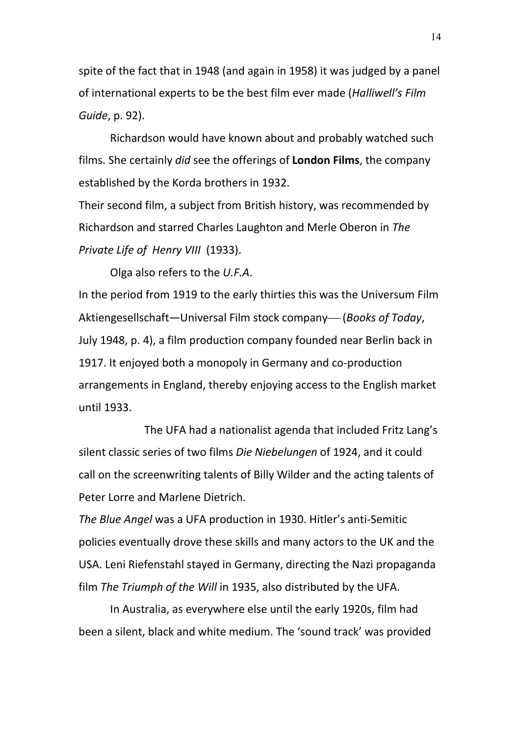spite of the fact that in 1948 (and again in 1958) it was judged by a panel of international experts to be the best film ever made (*Halliwell's Film Guide*, p. 92).

Richardson would have known about and probably watched such films. She certainly *did* see the offerings of **London Films**, the company established by the Korda brothers in 1932.

Their second film, a subject from British history, was recommended by Richardson and starred Charles Laughton and Merle Oberon in *The Private Life of Henry VIII* (1933).

Olga also refers to the *U.F.A*.

In the period from 1919 to the early thirties this was the Universum Film Aktiengesellschaft—Universal Film stock company— (*Books of Today*, July 1948, p. 4), a film production company founded near Berlin back in 1917. It enjoyed both a monopoly in Germany and co-production arrangements in England, thereby enjoying access to the English market until 1933.

The UFA had a nationalist agenda that included Fritz Lang's silent classic series of two films *Die Niebelungen* of 1924, and it could call on the screenwriting talents of Billy Wilder and the acting talents of Peter Lorre and Marlene Dietrich.

*The Blue Angel* was a UFA production in 1930. Hitler's anti-Semitic policies eventually drove these skills and many actors to the UK and the USA. Leni Riefenstahl stayed in Germany, directing the Nazi propaganda film *The Triumph of the Will* in 1935, also distributed by the UFA.

In Australia, as everywhere else until the early 1920s, film had been a silent, black and white medium. The 'sound track' was provided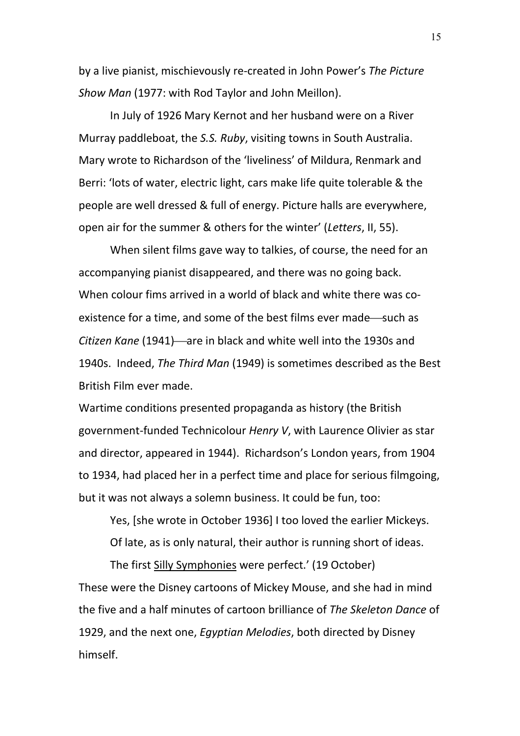by a live pianist, mischievously re-created in John Power's *The Picture Show Man* (1977: with Rod Taylor and John Meillon).

In July of 1926 Mary Kernot and her husband were on a River Murray paddleboat, the *S.S. Ruby*, visiting towns in South Australia. Mary wrote to Richardson of the 'liveliness' of Mildura, Renmark and Berri: 'lots of water, electric light, cars make life quite tolerable & the people are well dressed & full of energy. Picture halls are everywhere, open air for the summer & others for the winter' (*Letters*, II, 55).

When silent films gave way to talkies, of course, the need for an accompanying pianist disappeared, and there was no going back. When colour fims arrived in a world of black and white there was coexistence for a time, and some of the best films ever made—such as *Citizen Kane* (1941)—are in black and white well into the 1930s and 1940s. Indeed, *The Third Man* (1949) is sometimes described as the Best British Film ever made.

Wartime conditions presented propaganda as history (the British government-funded Technicolour *Henry V*, with Laurence Olivier as star and director, appeared in 1944). Richardson's London years, from 1904 to 1934, had placed her in a perfect time and place for serious filmgoing, but it was not always a solemn business. It could be fun, too:

Yes, [she wrote in October 1936] I too loved the earlier Mickeys.

Of late, as is only natural, their author is running short of ideas.

The first Silly Symphonies were perfect.' (19 October) These were the Disney cartoons of Mickey Mouse, and she had in mind the five and a half minutes of cartoon brilliance of *The Skeleton Dance* of 1929, and the next one, *Egyptian Melodies*, both directed by Disney himself.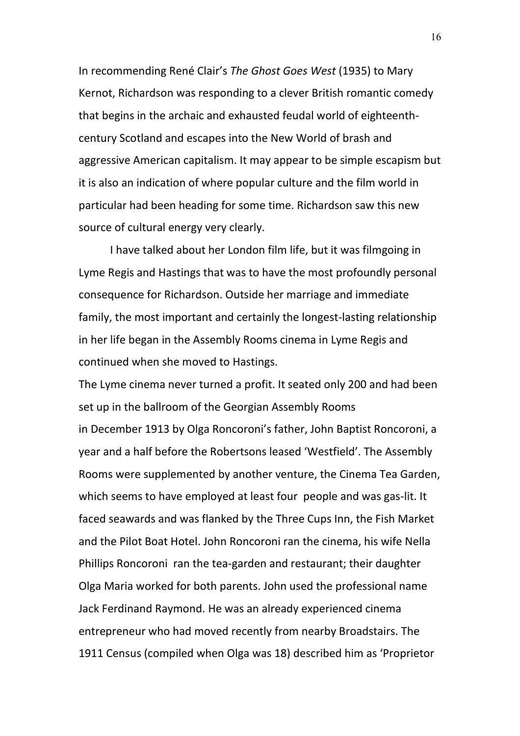In recommending René Clair's *The Ghost Goes West* (1935) to Mary Kernot, Richardson was responding to a clever British romantic comedy that begins in the archaic and exhausted feudal world of eighteenthcentury Scotland and escapes into the New World of brash and aggressive American capitalism. It may appear to be simple escapism but it is also an indication of where popular culture and the film world in particular had been heading for some time. Richardson saw this new source of cultural energy very clearly.

I have talked about her London film life, but it was filmgoing in Lyme Regis and Hastings that was to have the most profoundly personal consequence for Richardson. Outside her marriage and immediate family, the most important and certainly the longest-lasting relationship in her life began in the Assembly Rooms cinema in Lyme Regis and continued when she moved to Hastings.

The Lyme cinema never turned a profit. It seated only 200 and had been set up in the ballroom of the Georgian Assembly Rooms in December 1913 by Olga Roncoroni's father, John Baptist Roncoroni, a year and a half before the Robertsons leased 'Westfield'. The Assembly Rooms were supplemented by another venture, the Cinema Tea Garden, which seems to have employed at least four people and was gas-lit. It faced seawards and was flanked by the Three Cups Inn, the Fish Market and the Pilot Boat Hotel. John Roncoroni ran the cinema, his wife Nella Phillips Roncoroni ran the tea-garden and restaurant; their daughter Olga Maria worked for both parents. John used the professional name Jack Ferdinand Raymond. He was an already experienced cinema entrepreneur who had moved recently from nearby Broadstairs. The 1911 Census (compiled when Olga was 18) described him as 'Proprietor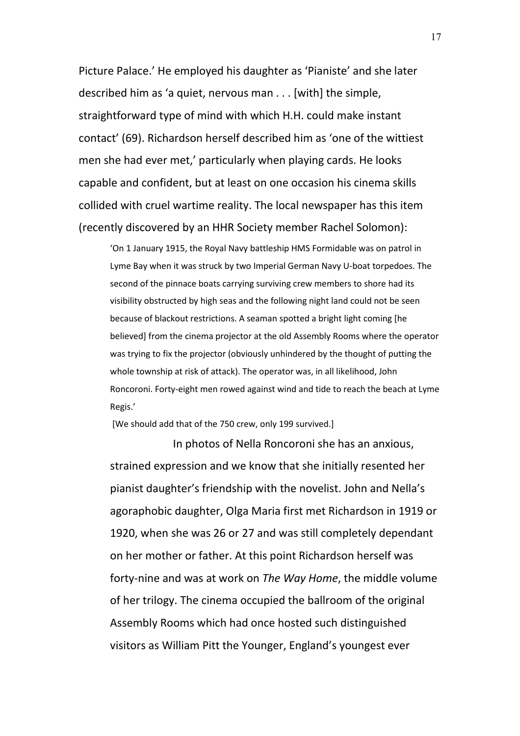Picture Palace.' He employed his daughter as 'Pianiste' and she later described him as 'a quiet, nervous man . . . [with] the simple, straightforward type of mind with which H.H. could make instant contact' (69). Richardson herself described him as 'one of the wittiest men she had ever met,' particularly when playing cards. He looks capable and confident, but at least on one occasion his cinema skills collided with cruel wartime reality. The local newspaper has this item (recently discovered by an HHR Society member Rachel Solomon):

'On 1 January 1915, the Royal Navy battleship HMS Formidable was on patrol in Lyme Bay when it was struck by two Imperial German Navy U-boat torpedoes. The second of the pinnace boats carrying surviving crew members to shore had its visibility obstructed by high seas and the following night land could not be seen because of blackout restrictions. A seaman spotted a bright light coming [he believed] from the cinema projector at the old Assembly Rooms where the operator was trying to fix the projector (obviously unhindered by the thought of putting the whole township at risk of attack). The operator was, in all likelihood, John Roncoroni. Forty-eight men rowed against wind and tide to reach the beach at Lyme Regis.'

[We should add that of the 750 crew, only 199 survived.]

In photos of Nella Roncoroni she has an anxious, strained expression and we know that she initially resented her pianist daughter's friendship with the novelist. John and Nella's agoraphobic daughter, Olga Maria first met Richardson in 1919 or 1920, when she was 26 or 27 and was still completely dependant on her mother or father. At this point Richardson herself was forty-nine and was at work on *The Way Home*, the middle volume of her trilogy. The cinema occupied the ballroom of the original Assembly Rooms which had once hosted such distinguished visitors as William Pitt the Younger, England's youngest ever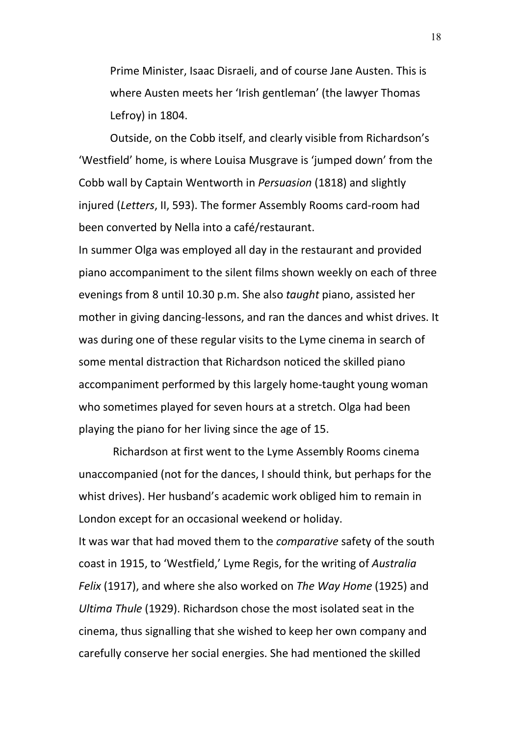Prime Minister, Isaac Disraeli, and of course Jane Austen. This is where Austen meets her 'Irish gentleman' (the lawyer Thomas Lefroy) in 1804.

Outside, on the Cobb itself, and clearly visible from Richardson's 'Westfield' home, is where Louisa Musgrave is 'jumped down' from the Cobb wall by Captain Wentworth in *Persuasion* (1818) and slightly injured (*Letters*, II, 593). The former Assembly Rooms card-room had been converted by Nella into a café/restaurant.

In summer Olga was employed all day in the restaurant and provided piano accompaniment to the silent films shown weekly on each of three evenings from 8 until 10.30 p.m. She also *taught* piano, assisted her mother in giving dancing-lessons, and ran the dances and whist drives. It was during one of these regular visits to the Lyme cinema in search of some mental distraction that Richardson noticed the skilled piano accompaniment performed by this largely home-taught young woman who sometimes played for seven hours at a stretch. Olga had been playing the piano for her living since the age of 15.

Richardson at first went to the Lyme Assembly Rooms cinema unaccompanied (not for the dances, I should think, but perhaps for the whist drives). Her husband's academic work obliged him to remain in London except for an occasional weekend or holiday. It was war that had moved them to the *comparative* safety of the south coast in 1915, to 'Westfield,' Lyme Regis, for the writing of *Australia Felix* (1917), and where she also worked on *The Way Home* (1925) and *Ultima Thule* (1929). Richardson chose the most isolated seat in the cinema, thus signalling that she wished to keep her own company and carefully conserve her social energies. She had mentioned the skilled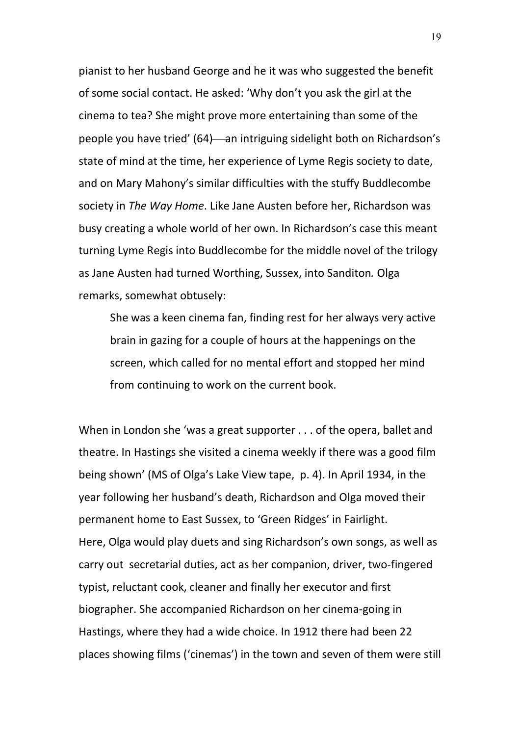pianist to her husband George and he it was who suggested the benefit of some social contact. He asked: 'Why don't you ask the girl at the cinema to tea? She might prove more entertaining than some of the people you have tried' (64)—an intriguing sidelight both on Richardson's state of mind at the time, her experience of Lyme Regis society to date, and on Mary Mahony's similar difficulties with the stuffy Buddlecombe society in *The Way Home*. Like Jane Austen before her, Richardson was busy creating a whole world of her own. In Richardson's case this meant turning Lyme Regis into Buddlecombe for the middle novel of the trilogy as Jane Austen had turned Worthing, Sussex, into Sanditon*.* Olga remarks, somewhat obtusely:

She was a keen cinema fan, finding rest for her always very active brain in gazing for a couple of hours at the happenings on the screen, which called for no mental effort and stopped her mind from continuing to work on the current book.

When in London she 'was a great supporter . . . of the opera, ballet and theatre. In Hastings she visited a cinema weekly if there was a good film being shown' (MS of Olga's Lake View tape, p. 4). In April 1934, in the year following her husband's death, Richardson and Olga moved their permanent home to East Sussex, to 'Green Ridges' in Fairlight. Here, Olga would play duets and sing Richardson's own songs, as well as carry out secretarial duties, act as her companion, driver, two-fingered typist, reluctant cook, cleaner and finally her executor and first biographer. She accompanied Richardson on her cinema-going in Hastings, where they had a wide choice. In 1912 there had been 22 places showing films ('cinemas') in the town and seven of them were still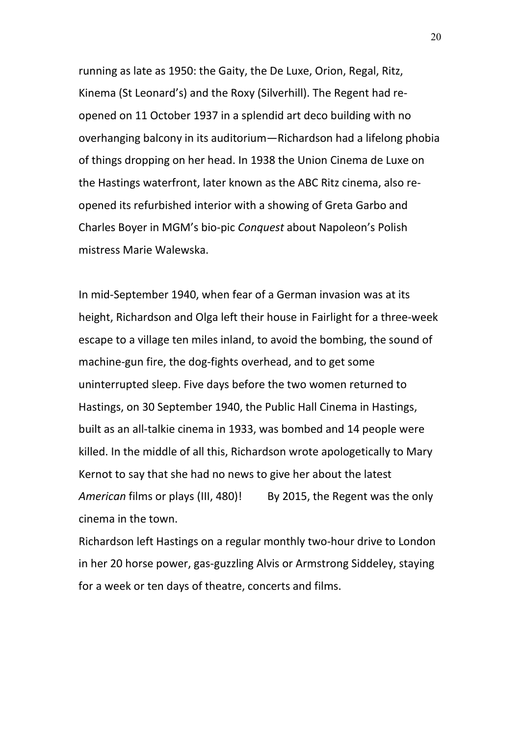running as late as 1950: the Gaity, the De Luxe, Orion, Regal, Ritz, Kinema (St Leonard's) and the Roxy (Silverhill). The Regent had reopened on 11 October 1937 in a splendid art deco building with no overhanging balcony in its auditorium—Richardson had a lifelong phobia of things dropping on her head. In 1938 the Union Cinema de Luxe on the Hastings waterfront, later known as the ABC Ritz cinema, also reopened its refurbished interior with a showing of Greta Garbo and Charles Boyer in MGM's bio-pic *Conquest* about Napoleon's Polish mistress Marie Walewska.

In mid-September 1940, when fear of a German invasion was at its height, Richardson and Olga left their house in Fairlight for a three-week escape to a village ten miles inland, to avoid the bombing, the sound of machine-gun fire, the dog-fights overhead, and to get some uninterrupted sleep. Five days before the two women returned to Hastings, on 30 September 1940, the Public Hall Cinema in Hastings, built as an all-talkie cinema in 1933, was bombed and 14 people were killed. In the middle of all this, Richardson wrote apologetically to Mary Kernot to say that she had no news to give her about the latest *American* films or plays (III, 480)! By 2015, the Regent was the only cinema in the town.

Richardson left Hastings on a regular monthly two-hour drive to London in her 20 horse power, gas-guzzling Alvis or Armstrong Siddeley, staying for a week or ten days of theatre, concerts and films.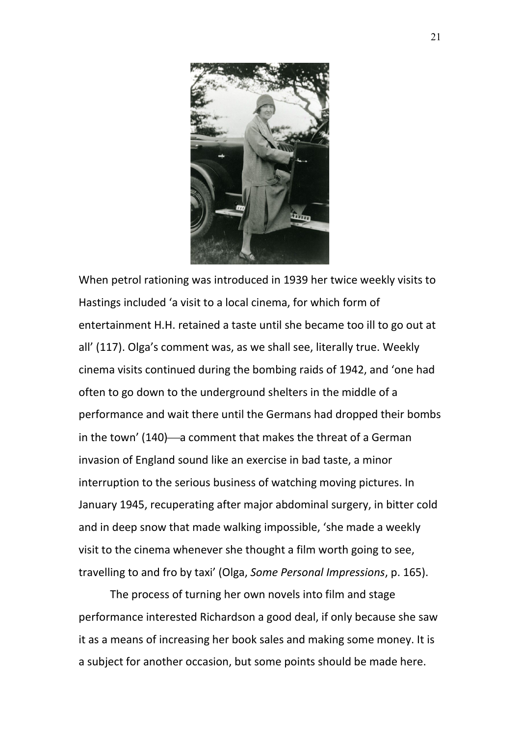

When petrol rationing was introduced in 1939 her twice weekly visits to Hastings included 'a visit to a local cinema, for which form of entertainment H.H. retained a taste until she became too ill to go out at all' (117). Olga's comment was, as we shall see, literally true. Weekly cinema visits continued during the bombing raids of 1942, and 'one had often to go down to the underground shelters in the middle of a performance and wait there until the Germans had dropped their bombs in the town' (140)—a comment that makes the threat of a German invasion of England sound like an exercise in bad taste, a minor interruption to the serious business of watching moving pictures. In January 1945, recuperating after major abdominal surgery, in bitter cold and in deep snow that made walking impossible, 'she made a weekly visit to the cinema whenever she thought a film worth going to see, travelling to and fro by taxi' (Olga, *Some Personal Impressions*, p. 165).

The process of turning her own novels into film and stage performance interested Richardson a good deal, if only because she saw it as a means of increasing her book sales and making some money. It is a subject for another occasion, but some points should be made here.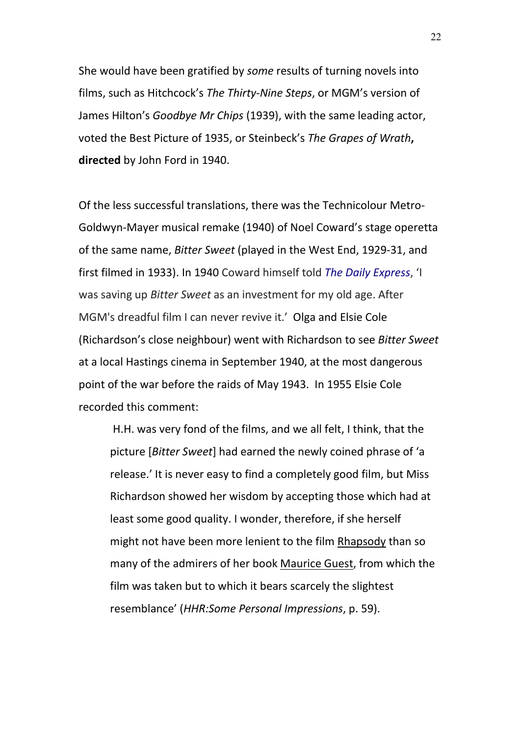She would have been gratified by *some* results of turning novels into films, such as Hitchcock's *The Thirty-Nine Steps*, or MGM's version of James Hilton's *Goodbye Mr Chips* (1939), with the same leading actor, voted the Best Picture of 1935, or Steinbeck's *The Grapes of Wrath***, directed** by John Ford in 1940.

Of the less successful translations, there was the Technicolour Metro-Goldwyn-Mayer musical remake (1940) of Noel Coward's stage operetta of the same name, *Bitter Sweet* (played in the West End, 1929-31, and first filmed in 1933). In 1940 Coward himself told *[The Daily Express](https://en.wikipedia.org/wiki/The_Daily_Express)*, 'I was saving up *Bitter Sweet* as an investment for my old age. After MGM's dreadful film I can never revive it.' Olga and Elsie Cole (Richardson's close neighbour) went with Richardson to see *Bitter Sweet* at a local Hastings cinema in September 1940, at the most dangerous point of the war before the raids of May 1943. In 1955 Elsie Cole recorded this comment:

H.H. was very fond of the films, and we all felt, I think, that the picture [*Bitter Sweet*] had earned the newly coined phrase of 'a release.' It is never easy to find a completely good film, but Miss Richardson showed her wisdom by accepting those which had at least some good quality. I wonder, therefore, if she herself might not have been more lenient to the film Rhapsody than so many of the admirers of her book Maurice Guest, from which the film was taken but to which it bears scarcely the slightest resemblance' (*HHR:Some Personal Impressions*, p. 59).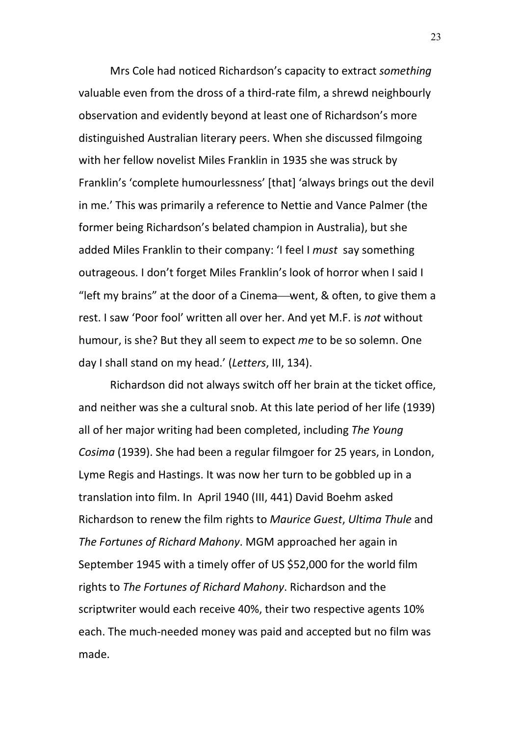Mrs Cole had noticed Richardson's capacity to extract *something* valuable even from the dross of a third-rate film, a shrewd neighbourly observation and evidently beyond at least one of Richardson's more distinguished Australian literary peers. When she discussed filmgoing with her fellow novelist Miles Franklin in 1935 she was struck by Franklin's 'complete humourlessness' [that] 'always brings out the devil in me.' This was primarily a reference to Nettie and Vance Palmer (the former being Richardson's belated champion in Australia), but she added Miles Franklin to their company: 'I feel I *must* say something outrageous. I don't forget Miles Franklin's look of horror when I said I "left my brains" at the door of a Cinema—went,  $\&$  often, to give them a rest. I saw 'Poor fool' written all over her. And yet M.F. is *not* without humour, is she? But they all seem to expect *me* to be so solemn. One day I shall stand on my head.' (*Letters*, III, 134).

Richardson did not always switch off her brain at the ticket office, and neither was she a cultural snob. At this late period of her life (1939) all of her major writing had been completed, including *The Young Cosima* (1939). She had been a regular filmgoer for 25 years, in London, Lyme Regis and Hastings. It was now her turn to be gobbled up in a translation into film. In April 1940 (III, 441) David Boehm asked Richardson to renew the film rights to *Maurice Guest*, *Ultima Thule* and *The Fortunes of Richard Mahony*. MGM approached her again in September 1945 with a timely offer of US \$52,000 for the world film rights to *The Fortunes of Richard Mahony*. Richardson and the scriptwriter would each receive 40%, their two respective agents 10% each. The much-needed money was paid and accepted but no film was made.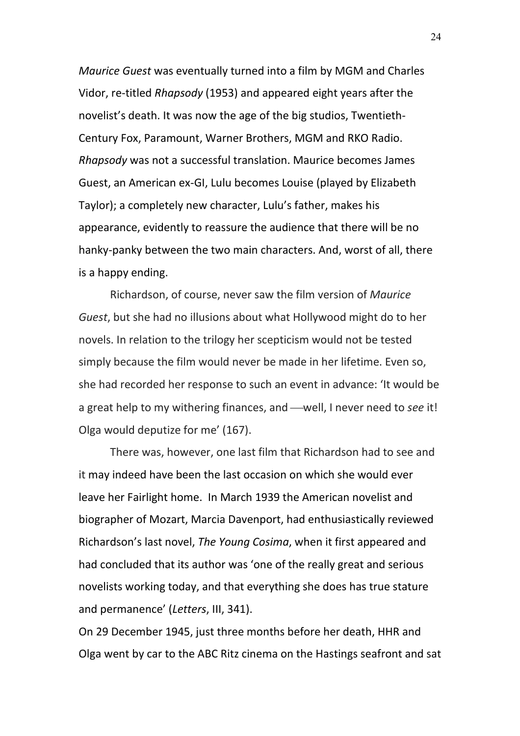*Maurice Guest* was eventually turned into a film by MGM and Charles Vidor, re-titled *Rhapsody* (1953) and appeared eight years after the novelist's death. It was now the age of the big studios, Twentieth-Century Fox, Paramount, Warner Brothers, MGM and RKO Radio. *Rhapsody* was not a successful translation. Maurice becomes James Guest, an American ex-GI, Lulu becomes Louise (played by Elizabeth Taylor); a completely new character, Lulu's father, makes his appearance, evidently to reassure the audience that there will be no hanky-panky between the two main characters. And, worst of all, there is a happy ending.

Richardson, of course, never saw the film version of *Maurice Guest*, but she had no illusions about what Hollywood might do to her novels. In relation to the trilogy her scepticism would not be tested simply because the film would never be made in her lifetime. Even so, she had recorded her response to such an event in advance: 'It would be a great help to my withering finances, and —well, I never need to *see* it! Olga would deputize for me' (167).

There was, however, one last film that Richardson had to see and it may indeed have been the last occasion on which she would ever leave her Fairlight home. In March 1939 the American novelist and biographer of Mozart, Marcia Davenport, had enthusiastically reviewed Richardson's last novel, *The Young Cosima*, when it first appeared and had concluded that its author was 'one of the really great and serious novelists working today, and that everything she does has true stature and permanence' (*Letters*, III, 341).

On 29 December 1945, just three months before her death, HHR and Olga went by car to the ABC Ritz cinema on the Hastings seafront and sat